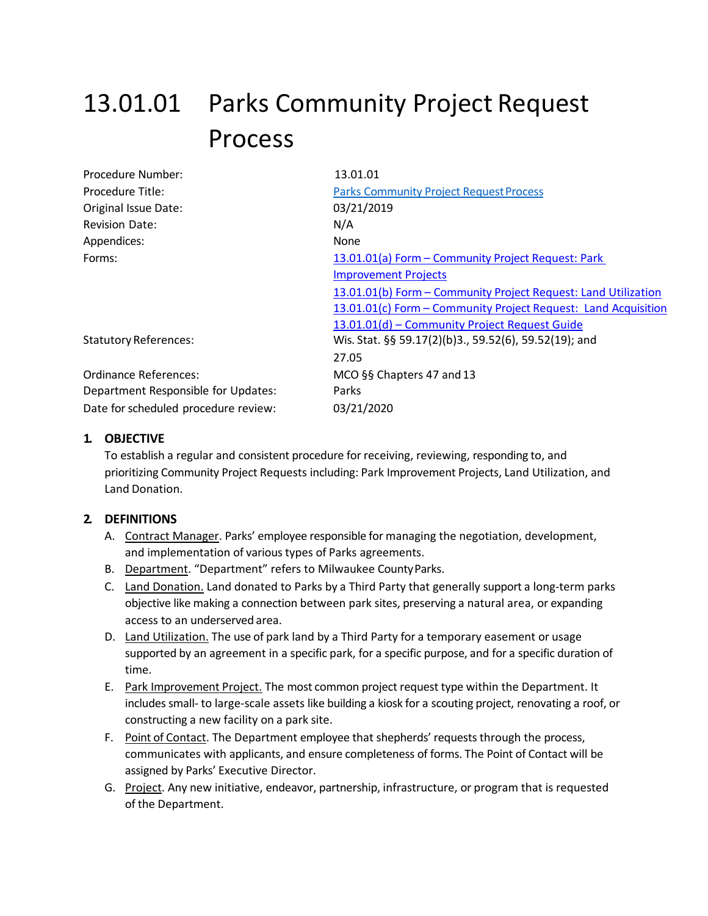# 13.01.01 Parks Community Project Request Process

| Procedure Number:                    | 13.01.01                                                       |
|--------------------------------------|----------------------------------------------------------------|
| Procedure Title:                     | <b>Parks Community Project Request Process</b>                 |
| Original Issue Date:                 | 03/21/2019                                                     |
| <b>Revision Date:</b>                | N/A                                                            |
| Appendices:                          | None                                                           |
| Forms:                               | 13.01.01(a) Form - Community Project Request: Park             |
|                                      | <b>Improvement Projects</b>                                    |
|                                      | 13.01.01(b) Form - Community Project Request: Land Utilization |
|                                      | 13.01.01(c) Form - Community Project Request: Land Acquisition |
|                                      | 13.01.01(d) - Community Project Request Guide                  |
| <b>Statutory References:</b>         | Wis. Stat. §§ 59.17(2)(b)3., 59.52(6), 59.52(19); and          |
|                                      | 27.05                                                          |
| <b>Ordinance References:</b>         | MCO §§ Chapters 47 and 13                                      |
| Department Responsible for Updates:  | Parks                                                          |
| Date for scheduled procedure review: | 03/21/2020                                                     |

## **1. OBJECTIVE**

To establish a regular and consistent procedure for receiving, reviewing, responding to, and prioritizing Community Project Requests including: Park Improvement Projects, Land Utilization, and Land Donation.

#### **2. DEFINITIONS**

- A. Contract Manager. Parks' employee responsible for managing the negotiation, development, and implementation of various types of Parks agreements.
- B. Department. "Department" refers to Milwaukee CountyParks.
- C. Land Donation. Land donated to Parks by a Third Party that generally support a long-term parks objective like making a connection between park sites, preserving a natural area, or expanding access to an underserved area.
- D. Land Utilization. The use of park land by a Third Party for a temporary easement or usage supported by an agreement in a specific park, for a specific purpose, and for a specific duration of time.
- E. Park Improvement Project. The most common project request type within the Department. It includes small- to large-scale assets like building a kiosk for a scouting project, renovating a roof, or constructing a new facility on a park site.
- F. Point of Contact. The Department employee that shepherds' requests through the process, communicates with applicants, and ensure completeness of forms. The Point of Contact will be assigned by Parks' Executive Director.
- G. Project. Any new initiative, endeavor, partnership, infrastructure, or program that is requested of the Department.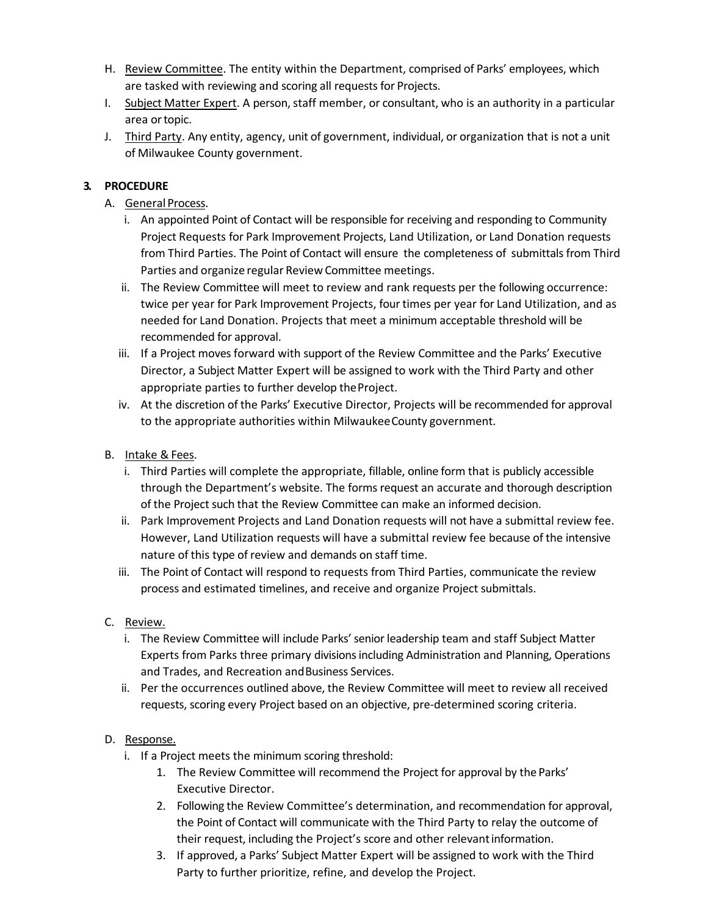- H. Review Committee. The entity within the Department, comprised of Parks' employees, which are tasked with reviewing and scoring all requests for Projects.
- I. Subject Matter Expert. A person, staff member, or consultant, who is an authority in a particular area ortopic.
- J. Third Party. Any entity, agency, unit of government, individual, or organization that is not a unit of Milwaukee County government.

# **3. PROCEDURE**

- A. General Process.
	- i. An appointed Point of Contact will be responsible for receiving and responding to Community Project Requests for Park Improvement Projects, Land Utilization, or Land Donation requests from Third Parties. The Point of Contact will ensure the completeness of submittals from Third Parties and organize regular Review Committee meetings.
	- ii. The Review Committee will meet to review and rank requests per the following occurrence: twice per year for Park Improvement Projects, four times per year for Land Utilization, and as needed for Land Donation. Projects that meet a minimum acceptable threshold will be recommended for approval.
	- iii. If a Project moves forward with support of the Review Committee and the Parks' Executive Director, a Subject Matter Expert will be assigned to work with the Third Party and other appropriate parties to further develop theProject.
	- iv. At the discretion of the Parks' Executive Director, Projects will be recommended for approval to the appropriate authorities within MilwaukeeCounty government.
- B. Intake & Fees.
	- i. Third Parties will complete the appropriate, fillable, online form that is publicly accessible through the Department's website. The forms request an accurate and thorough description of the Project such that the Review Committee can make an informed decision.
	- ii. Park Improvement Projects and Land Donation requests will not have a submittal review fee. However, Land Utilization requests will have a submittal review fee because of the intensive nature of this type of review and demands on staff time.
	- iii. The Point of Contact will respond to requests from Third Parties, communicate the review process and estimated timelines, and receive and organize Project submittals.
- C. Review.
	- i. The Review Committee will include Parks' senior leadership team and staff Subject Matter Experts from Parks three primary divisions including Administration and Planning, Operations and Trades, and Recreation andBusiness Services.
	- ii. Per the occurrences outlined above, the Review Committee will meet to review all received requests, scoring every Project based on an objective, pre-determined scoring criteria.

# D. Response.

- i. If a Project meets the minimum scoring threshold:
	- 1. The Review Committee will recommend the Project for approval by the Parks' Executive Director.
	- 2. Following the Review Committee's determination, and recommendation for approval, the Point of Contact will communicate with the Third Party to relay the outcome of their request, including the Project's score and other relevantinformation.
	- 3. If approved, a Parks' Subject Matter Expert will be assigned to work with the Third Party to further prioritize, refine, and develop the Project.